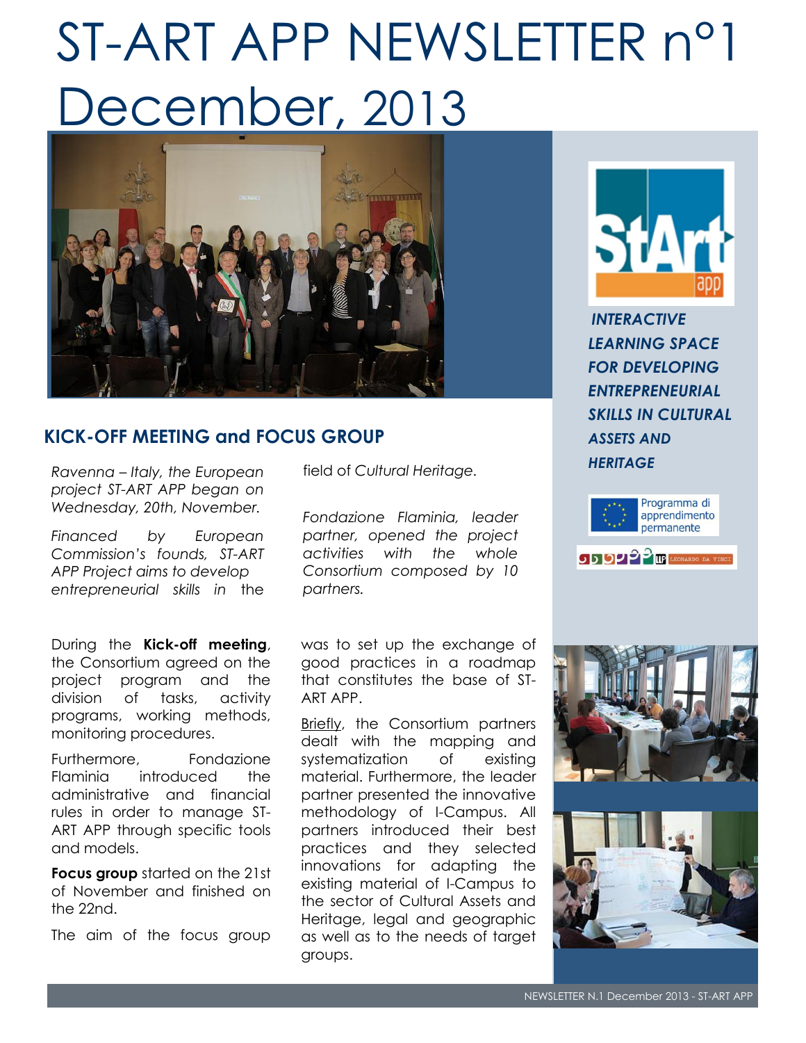# ST-ART APP NEWSLETTER n°1 December, 2013



## **KICK-OFF MEETING and FOCUS GROUP**

*Ravenna – Italy, the European project ST-ART APP began on Wednesday, 20th, November.* 

*Financed by European Commission's founds, ST-ART APP Project aims to develop entrepreneurial skills in* the

During the **Kick-off meeting**, the Consortium agreed on the project program and the division of tasks, activity programs, working methods, monitoring procedures.

Furthermore, Fondazione Flaminia introduced the administrative and financial rules in order to manage ST-ART APP through specific tools and models.

**Focus group** started on the 21st of November and finished on the 22nd.

The aim of the focus group

field of *Cultural Heritage.* 

*Fondazione Flaminia, leader partner, opened the project activities with the whole Consortium composed by 10 partners.* 

was to set up the exchange of good practices in a roadmap that constitutes the base of ST-ART APP.

Briefly, the Consortium partners dealt with the mapping and systematization of existing material. Furthermore, the leader partner presented the innovative methodology of I-Campus. All partners introduced their best practices and they selected innovations for adapting the existing material of I-Campus to the sector of Cultural Assets and Heritage, legal and geographic as well as to the needs of target groups.



*INTERACTIVE LEARNING SPACE FOR DEVELOPING ENTREPRENEURIAL SKILLS IN CULTURAL ASSETS AND HERITAGE*